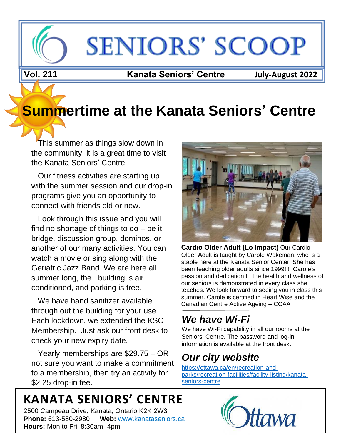# **SENIORS' SCOOP**

**Vol. Vol. 211 Kanata Seniors' Centre July-August 2022**

## **Summertime at the Kanata Seniors' Centre**

 This summer as things slow down in the community, it is a great time to visit the Kanata Seniors' Centre.

 Our fitness activities are starting up with the summer session and our drop-in programs give you an opportunity to connect with friends old or new.

 Look through this issue and you will find no shortage of things to do – be it bridge, discussion group, dominos, or another of our many activities. You can watch a movie or sing along with the Geriatric Jazz Band. We are here all summer long, the building is air conditioned, and parking is free.

We have hand sanitizer available through out the building for your use. Each lockdown, we extended the KSC Membership. Just ask our front desk to check your new expiry date.

 Yearly memberships are \$29.75 – OR not sure you want to make a commitment to a membership, then try an activity for \$2.25 drop-in fee.

## **KANATA SENIORS' CENTRE**

2500 Campeau Drive**,** Kanata, Ontario K2K 2W3 **Phone:** 613-580-2980 **Web:** [www.kanataseniors.ca](http://www.kanataseniors.ca/) **Hours:** Mon to Fri: 8:30am -4pm



Older Adult is taught by Carole Wakeman, who is a staple here at the Kanata Senior Center! She has been teaching older adults since 1999!!! Carole's passion and dedication to the health and wellness of our seniors is demonstrated in every class she teaches. We look forward to seeing you in class this summer. Carole is certified in Heart Wise and the Canadian Centre Active Ageing – CCAA

### *We have Wi-Fi*

We have Wi-Fi capability in all our rooms at the Seniors' Centre. The password and log-in information is available at the front desk.

### *Our city website*

[https://ottawa.ca/en/recreation-and](https://ottawa.ca/en/recreation-and-parks/recreation-facilities/facility-listing/kanata-seniors-centre)[parks/recreation-facilities/facility-listing/kanata](https://ottawa.ca/en/recreation-and-parks/recreation-facilities/facility-listing/kanata-seniors-centre)[seniors-centre](https://ottawa.ca/en/recreation-and-parks/recreation-facilities/facility-listing/kanata-seniors-centre)

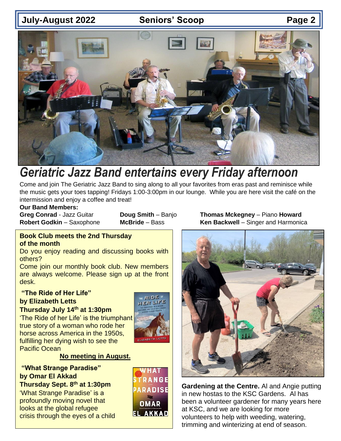### **July-August 2022 Seniors' Scoop Page 2**



### *Geriatric Jazz Band entertains every Friday afternoon*

Come and join The Geriatric Jazz Band to sing along to all your favorites from eras past and reminisce while the music gets your toes tapping! Fridays 1:00-3:00pm in our lounge. While you are here visit the café on the intermission and enjoy a coffee and treat!

#### **Our Band Members:**

#### **Book Club meets the 2nd Thursday of the month**

Do you enjoy reading and discussing books with others?

Come join our monthly book club. New members are always welcome. Please sign up at the front desk.

#### **"The Ride of Her Life"**

### **by Elizabeth Letts**

#### **Thursday July 14th at 1:30pm**

'The Ride of her Life' is the triumphant true story of a woman who rode her horse across America in the 1950s, fulfilling her dying wish to see the Pacific Ocean



#### **No meeting in August.**

**"What Strange Paradise" by Omar El Akkad Thursday Sept. 8 th at 1:30pm** 'What Strange Paradise' is a profoundly moving novel that looks at the global refugee crisis through the eyes of a child



**Greg Conrad** - Jazz Guitar **Doug Smith** – Banjo **Thomas Mckegney** – Piano **Howard Robert Godkin** – Saxophone **McBride** – Bass **Ken Backwell** – Singer and Harmonica



**Gardening at the Centre.** Al and Angie putting in new hostas to the KSC Gardens. Al has been a volunteer gardener for many years here at KSC, and we are looking for more volunteers to help with weeding, watering, trimming and winterizing at end of season.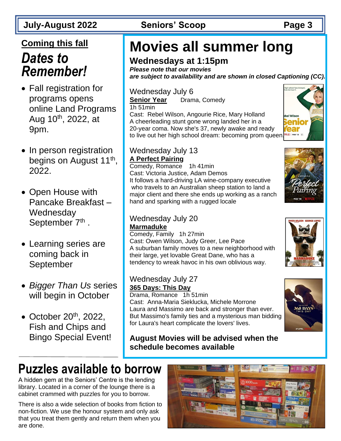### **Coming this fall**

### *Dates to Remember!*

- Fall registration for programs opens online Land Programs Aug  $10^{th}$ , 2022, at 9pm.
- In person registration begins on August 11<sup>th</sup>, 2022.
- Open House with Pancake Breakfast – **Wednesday** September 7<sup>th</sup>.
- Learning series are coming back in September
- *Bigger Than Us* series will begin in October
- October  $20<sup>th</sup>$ , 2022, Fish and Chips and Bingo Special Event!

### **July-August 2022 Seniors' Scoop Page 3**

## **Movies all summer long**

### **Wednesdays at 1:15pm**

*Please note that our movies are subject to availability and are shown in closed Captioning (CC).*

### Wednesday July 6

**Senior Year** Drama, Comedy 1h 51min Cast: Rebel Wilson, Angourie Rice, Mary Holland

A cheerleading stunt gone wrong landed her in a 20-year coma. Now she's 37, newly awake and ready to live out her high school dream: becoming prom queen.

#### Wednesday July 13 **A Perfect Pairing**

Comedy, Romance 1h 41min Cast: Victoria Justice, Adam Demos It follows a hard-driving LA wine-company executive who travels to an Australian sheep station to land a major client and there she ends up working as a ranch hand and sparking with a rugged locale

### Wednesday July 20 **Marmaduke**

Comedy, Family 1h 27min Cast: Owen Wilson, Judy Greer, Lee Pace A suburban family moves to a new neighborhood with their large, yet lovable Great Dane, who has a tendency to wreak havoc in his own oblivious way.

### Wednesday July 27 **365 Days: This Day**

after thing from their father

Drama, Romance 1h 51min Cast: Anna-Maria Sieklucka, Michele Morrone Laura and Massimo are back and stronger than ever. But Massimo's family ties and a mysterious man bidding for Laura's heart complicate the lovers' lives.

**August Movies will be advised when the schedule becomes available**







## **Puzzles available to borrow**

A hidden gem at the Seniors' Centre is the lending library. Located in a corner of the lounge there is a cabinet crammed with puzzles for you to borrow.

There is also a wide selection of books from fiction to non-fiction. We use the honour system and only ask that you treat them gently and return them when you are done.